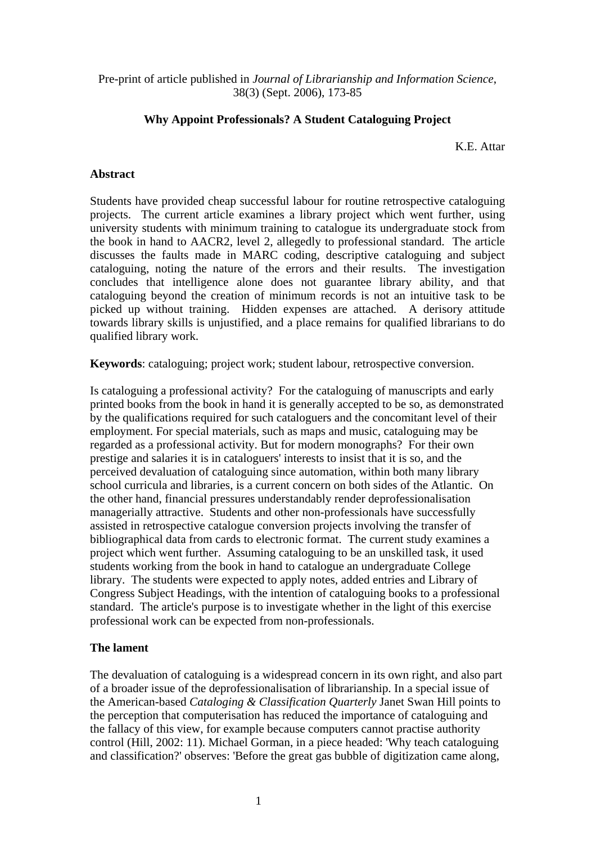Pre-print of article published in *Journal of Librarianship and Information Science*, 38(3) (Sept. 2006), 173-85

# **Why Appoint Professionals? A Student Cataloguing Project**

K.E. Attar

#### **Abstract**

Students have provided cheap successful labour for routine retrospective cataloguing projects. The current article examines a library project which went further, using university students with minimum training to catalogue its undergraduate stock from the book in hand to AACR2, level 2, allegedly to professional standard. The article discusses the faults made in MARC coding, descriptive cataloguing and subject cataloguing, noting the nature of the errors and their results. The investigation concludes that intelligence alone does not guarantee library ability, and that cataloguing beyond the creation of minimum records is not an intuitive task to be picked up without training. Hidden expenses are attached. A derisory attitude towards library skills is unjustified, and a place remains for qualified librarians to do qualified library work.

**Keywords**: cataloguing; project work; student labour, retrospective conversion.

Is cataloguing a professional activity? For the cataloguing of manuscripts and early printed books from the book in hand it is generally accepted to be so, as demonstrated by the qualifications required for such cataloguers and the concomitant level of their employment. For special materials, such as maps and music, cataloguing may be regarded as a professional activity. But for modern monographs? For their own prestige and salaries it is in cataloguers' interests to insist that it is so, and the perceived devaluation of cataloguing since automation, within both many library school curricula and libraries, is a current concern on both sides of the Atlantic. On the other hand, financial pressures understandably render deprofessionalisation managerially attractive. Students and other non-professionals have successfully assisted in retrospective catalogue conversion projects involving the transfer of bibliographical data from cards to electronic format. The current study examines a project which went further. Assuming cataloguing to be an unskilled task, it used students working from the book in hand to catalogue an undergraduate College library. The students were expected to apply notes, added entries and Library of Congress Subject Headings, with the intention of cataloguing books to a professional standard. The article's purpose is to investigate whether in the light of this exercise professional work can be expected from non-professionals.

#### **The lament**

The devaluation of cataloguing is a widespread concern in its own right, and also part of a broader issue of the deprofessionalisation of librarianship. In a special issue of the American-based *Cataloging & Classification Quarterly* Janet Swan Hill points to the perception that computerisation has reduced the importance of cataloguing and the fallacy of this view, for example because computers cannot practise authority control (Hill, 2002: 11). Michael Gorman, in a piece headed: 'Why teach cataloguing and classification?' observes: 'Before the great gas bubble of digitization came along,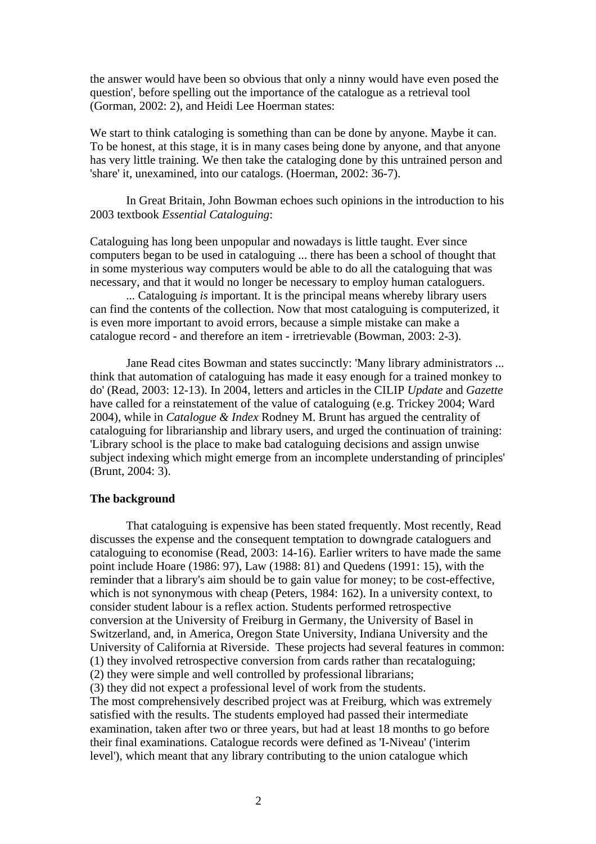the answer would have been so obvious that only a ninny would have even posed the question', before spelling out the importance of the catalogue as a retrieval tool (Gorman, 2002: 2), and Heidi Lee Hoerman states:

We start to think cataloging is something than can be done by anyone. Maybe it can. To be honest, at this stage, it is in many cases being done by anyone, and that anyone has very little training. We then take the cataloging done by this untrained person and 'share' it, unexamined, into our catalogs. (Hoerman, 2002: 36-7).

 In Great Britain, John Bowman echoes such opinions in the introduction to his 2003 textbook *Essential Cataloguing*:

Cataloguing has long been unpopular and nowadays is little taught. Ever since computers began to be used in cataloguing ... there has been a school of thought that in some mysterious way computers would be able to do all the cataloguing that was necessary, and that it would no longer be necessary to employ human cataloguers.

 ... Cataloguing *is* important. It is the principal means whereby library users can find the contents of the collection. Now that most cataloguing is computerized, it is even more important to avoid errors, because a simple mistake can make a catalogue record - and therefore an item - irretrievable (Bowman, 2003: 2-3).

 Jane Read cites Bowman and states succinctly: 'Many library administrators ... think that automation of cataloguing has made it easy enough for a trained monkey to do' (Read, 2003: 12-13). In 2004, letters and articles in the CILIP *Update* and *Gazette* have called for a reinstatement of the value of cataloguing (e.g. Trickey 2004; Ward 2004), while in *Catalogue & Index* Rodney M. Brunt has argued the centrality of cataloguing for librarianship and library users, and urged the continuation of training: 'Library school is the place to make bad cataloguing decisions and assign unwise subject indexing which might emerge from an incomplete understanding of principles' (Brunt, 2004: 3).

## **The background**

 That cataloguing is expensive has been stated frequently. Most recently, Read discusses the expense and the consequent temptation to downgrade cataloguers and cataloguing to economise (Read, 2003: 14-16). Earlier writers to have made the same point include Hoare (1986: 97), Law (1988: 81) and Quedens (1991: 15), with the reminder that a library's aim should be to gain value for money; to be cost-effective, which is not synonymous with cheap (Peters, 1984: 162). In a university context, to consider student labour is a reflex action. Students performed retrospective conversion at the University of Freiburg in Germany, the University of Basel in Switzerland, and, in America, Oregon State University, Indiana University and the University of California at Riverside. These projects had several features in common: (1) they involved retrospective conversion from cards rather than recataloguing; (2) they were simple and well controlled by professional librarians; (3) they did not expect a professional level of work from the students. The most comprehensively described project was at Freiburg, which was extremely satisfied with the results. The students employed had passed their intermediate examination, taken after two or three years, but had at least 18 months to go before their final examinations. Catalogue records were defined as 'I-Niveau' ('interim level'), which meant that any library contributing to the union catalogue which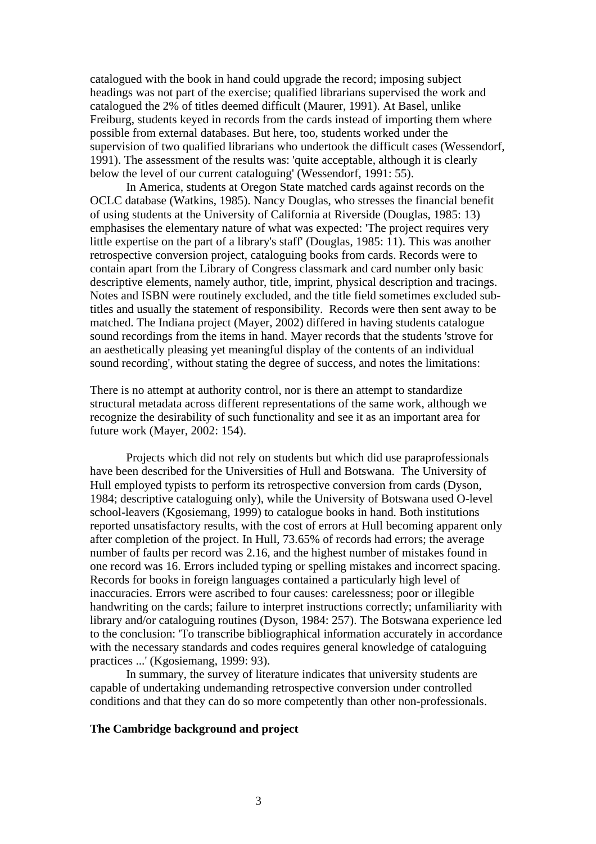catalogued with the book in hand could upgrade the record; imposing subject headings was not part of the exercise; qualified librarians supervised the work and catalogued the 2% of titles deemed difficult (Maurer, 1991). At Basel, unlike Freiburg, students keyed in records from the cards instead of importing them where possible from external databases. But here, too, students worked under the supervision of two qualified librarians who undertook the difficult cases (Wessendorf, 1991). The assessment of the results was: 'quite acceptable, although it is clearly below the level of our current cataloguing' (Wessendorf, 1991: 55).

 In America, students at Oregon State matched cards against records on the OCLC database (Watkins, 1985). Nancy Douglas, who stresses the financial benefit of using students at the University of California at Riverside (Douglas, 1985: 13) emphasises the elementary nature of what was expected: 'The project requires very little expertise on the part of a library's staff' (Douglas, 1985: 11). This was another retrospective conversion project, cataloguing books from cards. Records were to contain apart from the Library of Congress classmark and card number only basic descriptive elements, namely author, title, imprint, physical description and tracings. Notes and ISBN were routinely excluded, and the title field sometimes excluded subtitles and usually the statement of responsibility. Records were then sent away to be matched. The Indiana project (Mayer, 2002) differed in having students catalogue sound recordings from the items in hand. Mayer records that the students 'strove for an aesthetically pleasing yet meaningful display of the contents of an individual sound recording', without stating the degree of success, and notes the limitations:

There is no attempt at authority control, nor is there an attempt to standardize structural metadata across different representations of the same work, although we recognize the desirability of such functionality and see it as an important area for future work (Mayer, 2002: 154).

 Projects which did not rely on students but which did use paraprofessionals have been described for the Universities of Hull and Botswana. The University of Hull employed typists to perform its retrospective conversion from cards (Dyson, 1984; descriptive cataloguing only), while the University of Botswana used O-level school-leavers (Kgosiemang, 1999) to catalogue books in hand. Both institutions reported unsatisfactory results, with the cost of errors at Hull becoming apparent only after completion of the project. In Hull, 73.65% of records had errors; the average number of faults per record was 2.16, and the highest number of mistakes found in one record was 16. Errors included typing or spelling mistakes and incorrect spacing. Records for books in foreign languages contained a particularly high level of inaccuracies. Errors were ascribed to four causes: carelessness; poor or illegible handwriting on the cards; failure to interpret instructions correctly; unfamiliarity with library and/or cataloguing routines (Dyson, 1984: 257). The Botswana experience led to the conclusion: 'To transcribe bibliographical information accurately in accordance with the necessary standards and codes requires general knowledge of cataloguing practices ...' (Kgosiemang, 1999: 93).

 In summary, the survey of literature indicates that university students are capable of undertaking undemanding retrospective conversion under controlled conditions and that they can do so more competently than other non-professionals.

## **The Cambridge background and project**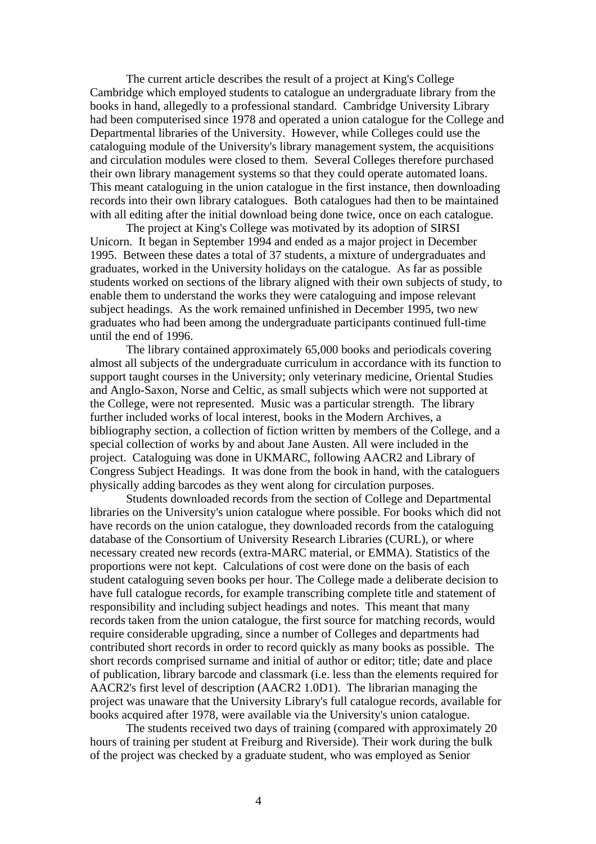The current article describes the result of a project at King's College Cambridge which employed students to catalogue an undergraduate library from the books in hand, allegedly to a professional standard. Cambridge University Library had been computerised since 1978 and operated a union catalogue for the College and Departmental libraries of the University. However, while Colleges could use the cataloguing module of the University's library management system, the acquisitions and circulation modules were closed to them. Several Colleges therefore purchased their own library management systems so that they could operate automated loans. This meant cataloguing in the union catalogue in the first instance, then downloading records into their own library catalogues. Both catalogues had then to be maintained with all editing after the initial download being done twice, once on each catalogue.

 The project at King's College was motivated by its adoption of SIRSI Unicorn. It began in September 1994 and ended as a major project in December 1995. Between these dates a total of 37 students, a mixture of undergraduates and graduates, worked in the University holidays on the catalogue. As far as possible students worked on sections of the library aligned with their own subjects of study, to enable them to understand the works they were cataloguing and impose relevant subject headings. As the work remained unfinished in December 1995, two new graduates who had been among the undergraduate participants continued full-time until the end of 1996.

 The library contained approximately 65,000 books and periodicals covering almost all subjects of the undergraduate curriculum in accordance with its function to support taught courses in the University; only veterinary medicine, Oriental Studies and Anglo-Saxon, Norse and Celtic, as small subjects which were not supported at the College, were not represented. Music was a particular strength. The library further included works of local interest, books in the Modern Archives, a bibliography section, a collection of fiction written by members of the College, and a special collection of works by and about Jane Austen. All were included in the project. Cataloguing was done in UKMARC, following AACR2 and Library of Congress Subject Headings. It was done from the book in hand, with the cataloguers physically adding barcodes as they went along for circulation purposes.

 Students downloaded records from the section of College and Departmental libraries on the University's union catalogue where possible. For books which did not have records on the union catalogue, they downloaded records from the cataloguing database of the Consortium of University Research Libraries (CURL), or where necessary created new records (extra-MARC material, or EMMA). Statistics of the proportions were not kept. Calculations of cost were done on the basis of each student cataloguing seven books per hour. The College made a deliberate decision to have full catalogue records, for example transcribing complete title and statement of responsibility and including subject headings and notes. This meant that many records taken from the union catalogue, the first source for matching records, would require considerable upgrading, since a number of Colleges and departments had contributed short records in order to record quickly as many books as possible. The short records comprised surname and initial of author or editor; title; date and place of publication, library barcode and classmark (i.e. less than the elements required for AACR2's first level of description (AACR2 1.0D1). The librarian managing the project was unaware that the University Library's full catalogue records, available for books acquired after 1978, were available via the University's union catalogue.

 The students received two days of training (compared with approximately 20 hours of training per student at Freiburg and Riverside). Their work during the bulk of the project was checked by a graduate student, who was employed as Senior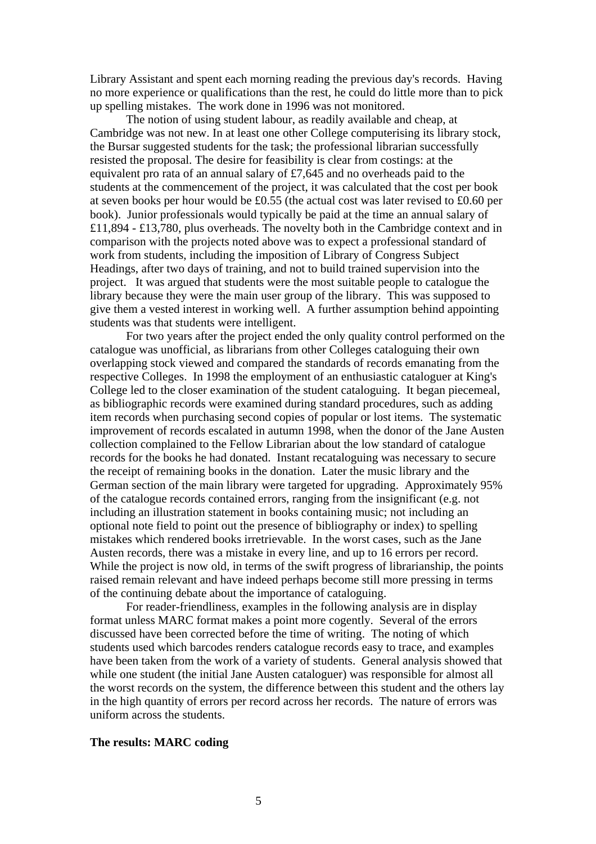Library Assistant and spent each morning reading the previous day's records. Having no more experience or qualifications than the rest, he could do little more than to pick up spelling mistakes. The work done in 1996 was not monitored.

 The notion of using student labour, as readily available and cheap, at Cambridge was not new. In at least one other College computerising its library stock, the Bursar suggested students for the task; the professional librarian successfully resisted the proposal. The desire for feasibility is clear from costings: at the equivalent pro rata of an annual salary of £7,645 and no overheads paid to the students at the commencement of the project, it was calculated that the cost per book at seven books per hour would be £0.55 (the actual cost was later revised to £0.60 per book). Junior professionals would typically be paid at the time an annual salary of £11,894 - £13,780, plus overheads. The novelty both in the Cambridge context and in comparison with the projects noted above was to expect a professional standard of work from students, including the imposition of Library of Congress Subject Headings, after two days of training, and not to build trained supervision into the project. It was argued that students were the most suitable people to catalogue the library because they were the main user group of the library. This was supposed to give them a vested interest in working well. A further assumption behind appointing students was that students were intelligent.

 For two years after the project ended the only quality control performed on the catalogue was unofficial, as librarians from other Colleges cataloguing their own overlapping stock viewed and compared the standards of records emanating from the respective Colleges. In 1998 the employment of an enthusiastic cataloguer at King's College led to the closer examination of the student cataloguing. It began piecemeal, as bibliographic records were examined during standard procedures, such as adding item records when purchasing second copies of popular or lost items. The systematic improvement of records escalated in autumn 1998, when the donor of the Jane Austen collection complained to the Fellow Librarian about the low standard of catalogue records for the books he had donated. Instant recataloguing was necessary to secure the receipt of remaining books in the donation. Later the music library and the German section of the main library were targeted for upgrading. Approximately 95% of the catalogue records contained errors, ranging from the insignificant (e.g. not including an illustration statement in books containing music; not including an optional note field to point out the presence of bibliography or index) to spelling mistakes which rendered books irretrievable. In the worst cases, such as the Jane Austen records, there was a mistake in every line, and up to 16 errors per record. While the project is now old, in terms of the swift progress of librarianship, the points raised remain relevant and have indeed perhaps become still more pressing in terms of the continuing debate about the importance of cataloguing.

 For reader-friendliness, examples in the following analysis are in display format unless MARC format makes a point more cogently. Several of the errors discussed have been corrected before the time of writing. The noting of which students used which barcodes renders catalogue records easy to trace, and examples have been taken from the work of a variety of students. General analysis showed that while one student (the initial Jane Austen cataloguer) was responsible for almost all the worst records on the system, the difference between this student and the others lay in the high quantity of errors per record across her records. The nature of errors was uniform across the students.

#### **The results: MARC coding**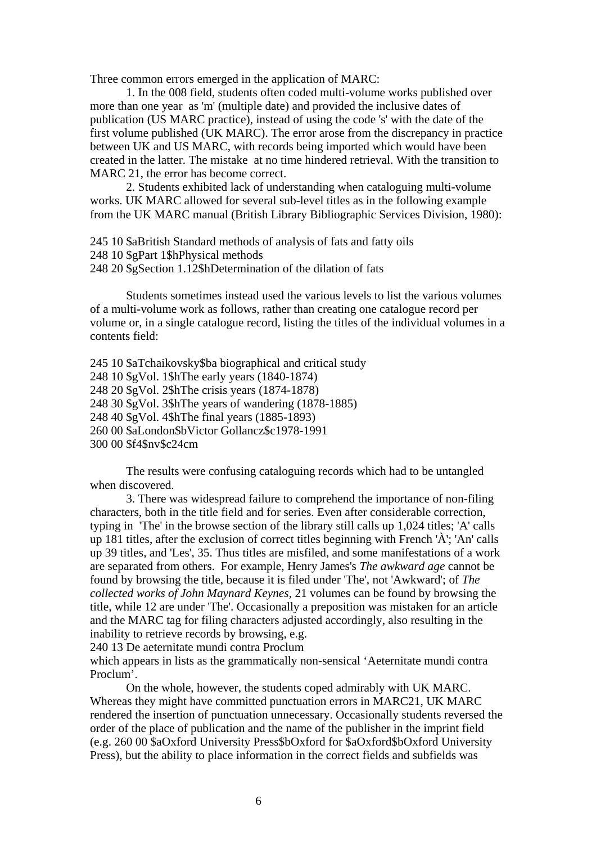Three common errors emerged in the application of MARC:

 1. In the 008 field, students often coded multi-volume works published over more than one year as 'm' (multiple date) and provided the inclusive dates of publication (US MARC practice), instead of using the code 's' with the date of the first volume published (UK MARC). The error arose from the discrepancy in practice between UK and US MARC, with records being imported which would have been created in the latter. The mistake at no time hindered retrieval. With the transition to MARC 21, the error has become correct.

 2. Students exhibited lack of understanding when cataloguing multi-volume works. UK MARC allowed for several sub-level titles as in the following example from the UK MARC manual (British Library Bibliographic Services Division, 1980):

245 10 \$aBritish Standard methods of analysis of fats and fatty oils

- 248 10 \$gPart 1\$hPhysical methods
- 248 20 \$gSection 1.12\$hDetermination of the dilation of fats

 Students sometimes instead used the various levels to list the various volumes of a multi-volume work as follows, rather than creating one catalogue record per volume or, in a single catalogue record, listing the titles of the individual volumes in a contents field:

245 10 \$aTchaikovsky\$ba biographical and critical study 248 10 \$gVol. 1\$hThe early years (1840-1874) 248 20 \$gVol. 2\$hThe crisis years (1874-1878) 248 30 \$gVol. 3\$hThe years of wandering (1878-1885) 248 40 \$gVol. 4\$hThe final years (1885-1893) 260 00 \$aLondon\$bVictor Gollancz\$c1978-1991 300 00 \$f4\$nv\$c24cm

 The results were confusing cataloguing records which had to be untangled when discovered.

 3. There was widespread failure to comprehend the importance of non-filing characters, both in the title field and for series. Even after considerable correction, typing in 'The' in the browse section of the library still calls up 1,024 titles; 'A' calls up 181 titles, after the exclusion of correct titles beginning with French 'À'; 'An' calls up 39 titles, and 'Les', 35. Thus titles are misfiled, and some manifestations of a work are separated from others. For example, Henry James's *The awkward age* cannot be found by browsing the title, because it is filed under 'The', not 'Awkward'; of *The collected works of John Maynard Keynes*, 21 volumes can be found by browsing the title, while 12 are under 'The'. Occasionally a preposition was mistaken for an article and the MARC tag for filing characters adjusted accordingly, also resulting in the inability to retrieve records by browsing, e.g.

240 13 De aeternitate mundi contra Proclum

which appears in lists as the grammatically non-sensical 'Aeternitate mundi contra Proclum'.

 On the whole, however, the students coped admirably with UK MARC. Whereas they might have committed punctuation errors in MARC21, UK MARC rendered the insertion of punctuation unnecessary. Occasionally students reversed the order of the place of publication and the name of the publisher in the imprint field (e.g. 260 00 \$aOxford University Press\$bOxford for \$aOxford\$bOxford University Press), but the ability to place information in the correct fields and subfields was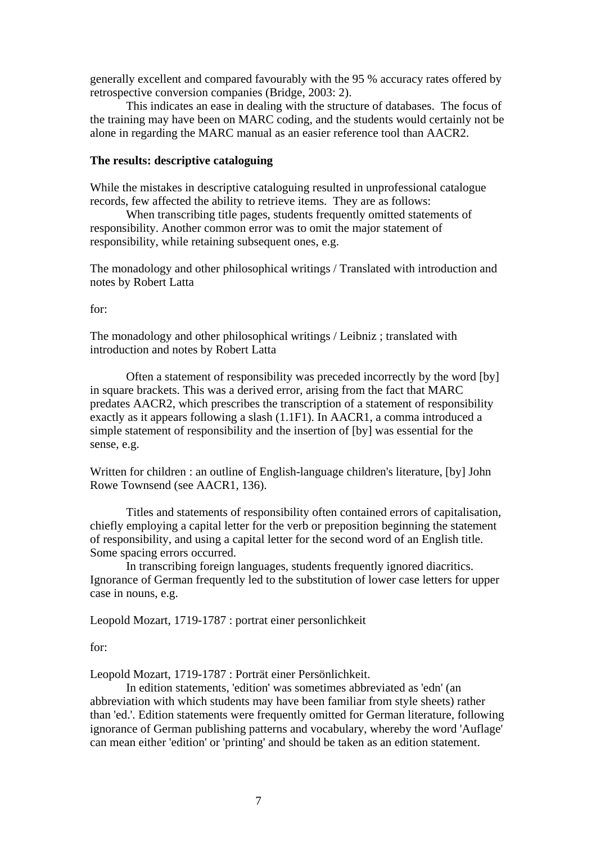generally excellent and compared favourably with the 95 % accuracy rates offered by retrospective conversion companies (Bridge, 2003: 2).

 This indicates an ease in dealing with the structure of databases. The focus of the training may have been on MARC coding, and the students would certainly not be alone in regarding the MARC manual as an easier reference tool than AACR2.

## **The results: descriptive cataloguing**

While the mistakes in descriptive cataloguing resulted in unprofessional catalogue records, few affected the ability to retrieve items. They are as follows:

 When transcribing title pages, students frequently omitted statements of responsibility. Another common error was to omit the major statement of responsibility, while retaining subsequent ones, e.g.

The monadology and other philosophical writings / Translated with introduction and notes by Robert Latta

for:

The monadology and other philosophical writings / Leibniz ; translated with introduction and notes by Robert Latta

 Often a statement of responsibility was preceded incorrectly by the word [by] in square brackets. This was a derived error, arising from the fact that MARC predates AACR2, which prescribes the transcription of a statement of responsibility exactly as it appears following a slash (1.1F1). In AACR1, a comma introduced a simple statement of responsibility and the insertion of [by] was essential for the sense, e.g.

Written for children : an outline of English-language children's literature, [by] John Rowe Townsend (see AACR1, 136).

 Titles and statements of responsibility often contained errors of capitalisation, chiefly employing a capital letter for the verb or preposition beginning the statement of responsibility, and using a capital letter for the second word of an English title. Some spacing errors occurred.

 In transcribing foreign languages, students frequently ignored diacritics. Ignorance of German frequently led to the substitution of lower case letters for upper case in nouns, e.g.

Leopold Mozart, 1719-1787 : portrat einer personlichkeit

for:

Leopold Mozart, 1719-1787 : Porträt einer Persönlichkeit.

 In edition statements, 'edition' was sometimes abbreviated as 'edn' (an abbreviation with which students may have been familiar from style sheets) rather than 'ed.'. Edition statements were frequently omitted for German literature, following ignorance of German publishing patterns and vocabulary, whereby the word 'Auflage' can mean either 'edition' or 'printing' and should be taken as an edition statement.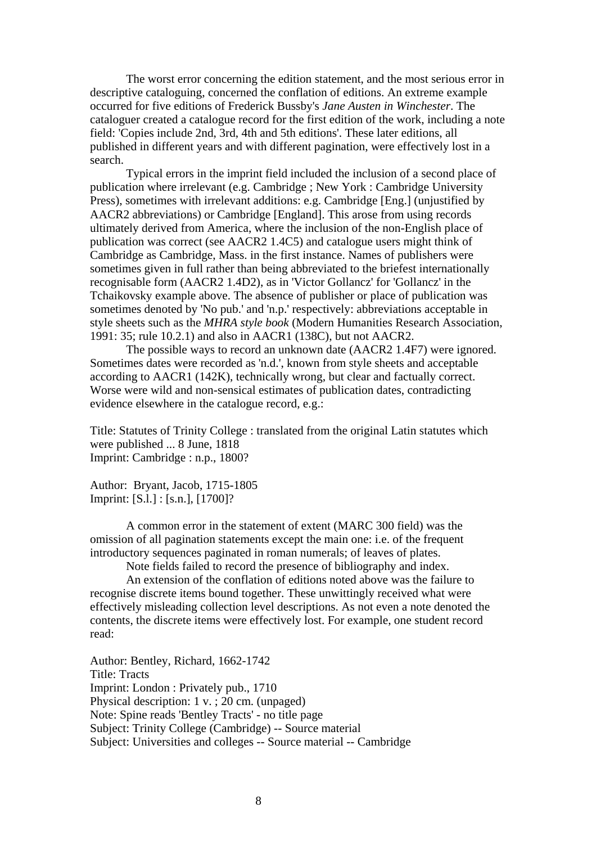The worst error concerning the edition statement, and the most serious error in descriptive cataloguing, concerned the conflation of editions. An extreme example occurred for five editions of Frederick Bussby's *Jane Austen in Winchester*. The cataloguer created a catalogue record for the first edition of the work, including a note field: 'Copies include 2nd, 3rd, 4th and 5th editions'. These later editions, all published in different years and with different pagination, were effectively lost in a search.

 Typical errors in the imprint field included the inclusion of a second place of publication where irrelevant (e.g. Cambridge ; New York : Cambridge University Press), sometimes with irrelevant additions: e.g. Cambridge [Eng.] (unjustified by AACR2 abbreviations) or Cambridge [England]. This arose from using records ultimately derived from America, where the inclusion of the non-English place of publication was correct (see AACR2 1.4C5) and catalogue users might think of Cambridge as Cambridge, Mass. in the first instance. Names of publishers were sometimes given in full rather than being abbreviated to the briefest internationally recognisable form (AACR2 1.4D2), as in 'Victor Gollancz' for 'Gollancz' in the Tchaikovsky example above. The absence of publisher or place of publication was sometimes denoted by 'No pub.' and 'n.p.' respectively: abbreviations acceptable in style sheets such as the *MHRA style book* (Modern Humanities Research Association, 1991: 35; rule 10.2.1) and also in AACR1 (138C), but not AACR2.

 The possible ways to record an unknown date (AACR2 1.4F7) were ignored. Sometimes dates were recorded as 'n.d.', known from style sheets and acceptable according to AACR1 (142K), technically wrong, but clear and factually correct. Worse were wild and non-sensical estimates of publication dates, contradicting evidence elsewhere in the catalogue record, e.g.:

Title: Statutes of Trinity College : translated from the original Latin statutes which were published ... 8 June, 1818 Imprint: Cambridge : n.p., 1800?

Author: Bryant, Jacob, 1715-1805 Imprint: [S.l.] : [s.n.], [1700]?

 A common error in the statement of extent (MARC 300 field) was the omission of all pagination statements except the main one: i.e. of the frequent introductory sequences paginated in roman numerals; of leaves of plates.

Note fields failed to record the presence of bibliography and index.

 An extension of the conflation of editions noted above was the failure to recognise discrete items bound together. These unwittingly received what were effectively misleading collection level descriptions. As not even a note denoted the contents, the discrete items were effectively lost. For example, one student record read:

Author: Bentley, Richard, 1662-1742 Title: Tracts Imprint: London : Privately pub., 1710 Physical description: 1 v. ; 20 cm. (unpaged) Note: Spine reads 'Bentley Tracts' - no title page Subject: Trinity College (Cambridge) -- Source material Subject: Universities and colleges -- Source material -- Cambridge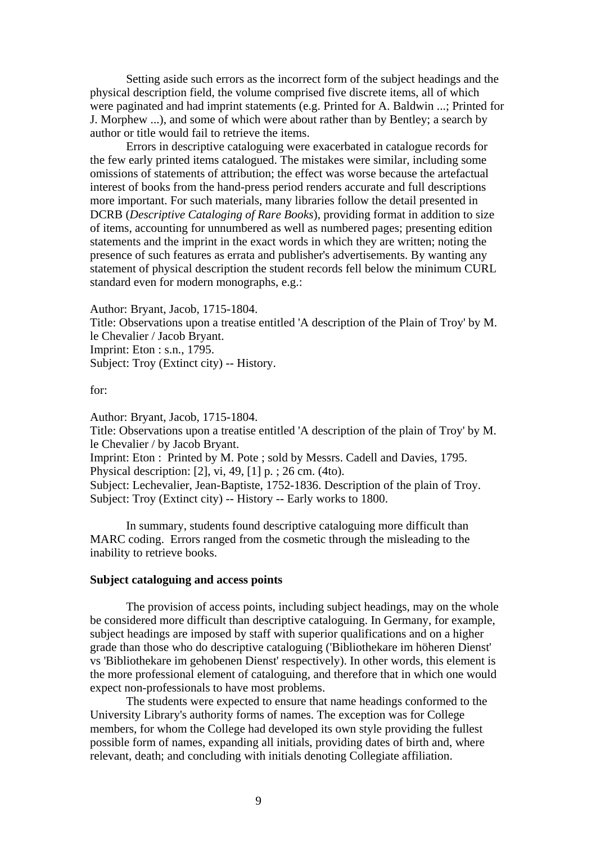Setting aside such errors as the incorrect form of the subject headings and the physical description field, the volume comprised five discrete items, all of which were paginated and had imprint statements (e.g. Printed for A. Baldwin ...; Printed for J. Morphew ...), and some of which were about rather than by Bentley; a search by author or title would fail to retrieve the items.

 Errors in descriptive cataloguing were exacerbated in catalogue records for the few early printed items catalogued. The mistakes were similar, including some omissions of statements of attribution; the effect was worse because the artefactual interest of books from the hand-press period renders accurate and full descriptions more important. For such materials, many libraries follow the detail presented in DCRB (*Descriptive Cataloging of Rare Books*), providing format in addition to size of items, accounting for unnumbered as well as numbered pages; presenting edition statements and the imprint in the exact words in which they are written; noting the presence of such features as errata and publisher's advertisements. By wanting any statement of physical description the student records fell below the minimum CURL standard even for modern monographs, e.g.:

Author: Bryant, Jacob, 1715-1804.

Title: Observations upon a treatise entitled 'A description of the Plain of Troy' by M. le Chevalier / Jacob Bryant. Imprint: Eton : s.n., 1795. Subject: Troy (Extinct city) -- History.

for:

Author: Bryant, Jacob, 1715-1804. Title: Observations upon a treatise entitled 'A description of the plain of Troy' by M. le Chevalier / by Jacob Bryant. Imprint: Eton : Printed by M. Pote ; sold by Messrs. Cadell and Davies, 1795. Physical description: [2], vi, 49, [1] p. ; 26 cm. (4to). Subject: Lechevalier, Jean-Baptiste, 1752-1836. Description of the plain of Troy. Subject: Troy (Extinct city) -- History -- Early works to 1800.

 In summary, students found descriptive cataloguing more difficult than MARC coding. Errors ranged from the cosmetic through the misleading to the inability to retrieve books.

#### **Subject cataloguing and access points**

 The provision of access points, including subject headings, may on the whole be considered more difficult than descriptive cataloguing. In Germany, for example, subject headings are imposed by staff with superior qualifications and on a higher grade than those who do descriptive cataloguing ('Bibliothekare im höheren Dienst' vs 'Bibliothekare im gehobenen Dienst' respectively). In other words, this element is the more professional element of cataloguing, and therefore that in which one would expect non-professionals to have most problems.

 The students were expected to ensure that name headings conformed to the University Library's authority forms of names. The exception was for College members, for whom the College had developed its own style providing the fullest possible form of names, expanding all initials, providing dates of birth and, where relevant, death; and concluding with initials denoting Collegiate affiliation.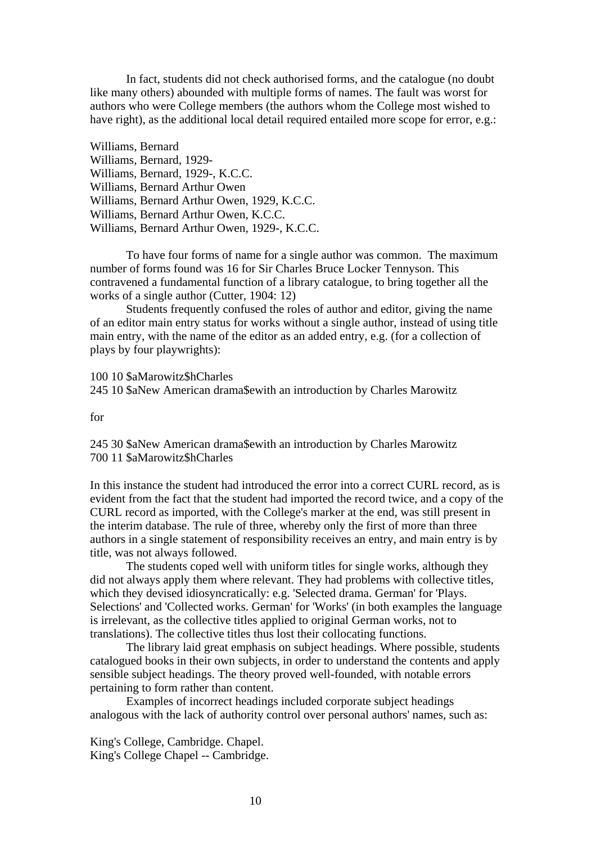In fact, students did not check authorised forms, and the catalogue (no doubt like many others) abounded with multiple forms of names. The fault was worst for authors who were College members (the authors whom the College most wished to have right), as the additional local detail required entailed more scope for error, e.g.:

Williams, Bernard Williams, Bernard, 1929- Williams, Bernard, 1929-, K.C.C. Williams, Bernard Arthur Owen Williams, Bernard Arthur Owen, 1929, K.C.C. Williams, Bernard Arthur Owen, K.C.C. Williams, Bernard Arthur Owen, 1929-, K.C.C.

 To have four forms of name for a single author was common. The maximum number of forms found was 16 for Sir Charles Bruce Locker Tennyson. This contravened a fundamental function of a library catalogue, to bring together all the works of a single author (Cutter, 1904: 12)

 Students frequently confused the roles of author and editor, giving the name of an editor main entry status for works without a single author, instead of using title main entry, with the name of the editor as an added entry, e.g. (for a collection of plays by four playwrights):

100 10 \$aMarowitz\$hCharles

245 10 \$aNew American drama\$ewith an introduction by Charles Marowitz

for

245 30 \$aNew American drama\$ewith an introduction by Charles Marowitz 700 11 \$aMarowitz\$hCharles

In this instance the student had introduced the error into a correct CURL record, as is evident from the fact that the student had imported the record twice, and a copy of the CURL record as imported, with the College's marker at the end, was still present in the interim database. The rule of three, whereby only the first of more than three authors in a single statement of responsibility receives an entry, and main entry is by title, was not always followed.

 The students coped well with uniform titles for single works, although they did not always apply them where relevant. They had problems with collective titles, which they devised idiosyncratically: e.g. 'Selected drama. German' for 'Plays. Selections' and 'Collected works. German' for 'Works' (in both examples the language is irrelevant, as the collective titles applied to original German works, not to translations). The collective titles thus lost their collocating functions.

 The library laid great emphasis on subject headings. Where possible, students catalogued books in their own subjects, in order to understand the contents and apply sensible subject headings. The theory proved well-founded, with notable errors pertaining to form rather than content.

 Examples of incorrect headings included corporate subject headings analogous with the lack of authority control over personal authors' names, such as:

King's College, Cambridge. Chapel. King's College Chapel -- Cambridge.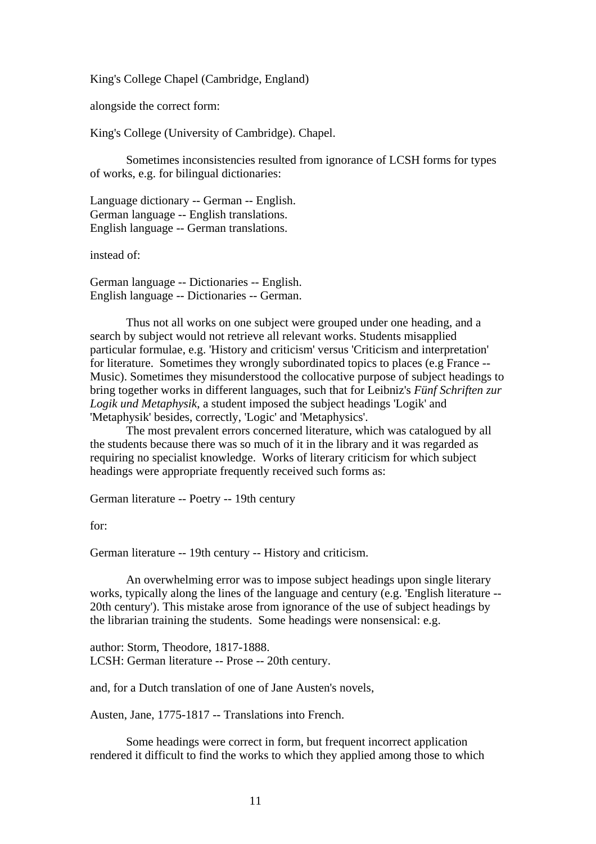King's College Chapel (Cambridge, England)

alongside the correct form:

King's College (University of Cambridge). Chapel.

 Sometimes inconsistencies resulted from ignorance of LCSH forms for types of works, e.g. for bilingual dictionaries:

Language dictionary -- German -- English. German language -- English translations. English language -- German translations.

instead of:

German language -- Dictionaries -- English. English language -- Dictionaries -- German.

 Thus not all works on one subject were grouped under one heading, and a search by subject would not retrieve all relevant works. Students misapplied particular formulae, e.g. 'History and criticism' versus 'Criticism and interpretation' for literature. Sometimes they wrongly subordinated topics to places (e.g France -- Music). Sometimes they misunderstood the collocative purpose of subject headings to bring together works in different languages, such that for Leibniz's *Fünf Schriften zur Logik und Metaphysik*, a student imposed the subject headings 'Logik' and 'Metaphysik' besides, correctly, 'Logic' and 'Metaphysics'.

 The most prevalent errors concerned literature, which was catalogued by all the students because there was so much of it in the library and it was regarded as requiring no specialist knowledge. Works of literary criticism for which subject headings were appropriate frequently received such forms as:

German literature -- Poetry -- 19th century

for:

German literature -- 19th century -- History and criticism.

 An overwhelming error was to impose subject headings upon single literary works, typically along the lines of the language and century (e.g. 'English literature -- 20th century'). This mistake arose from ignorance of the use of subject headings by the librarian training the students. Some headings were nonsensical: e.g.

author: Storm, Theodore, 1817-1888. LCSH: German literature -- Prose -- 20th century.

and, for a Dutch translation of one of Jane Austen's novels,

Austen, Jane, 1775-1817 -- Translations into French.

 Some headings were correct in form, but frequent incorrect application rendered it difficult to find the works to which they applied among those to which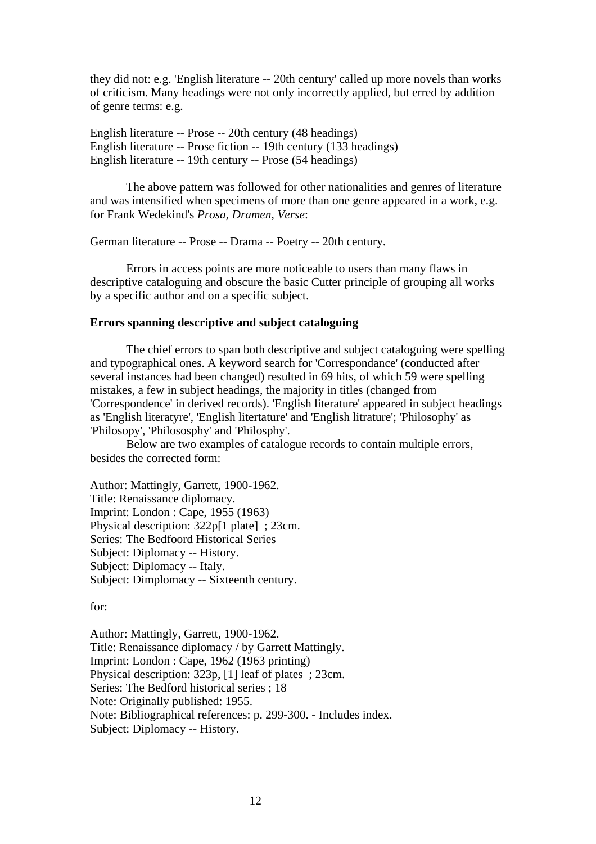they did not: e.g. 'English literature -- 20th century' called up more novels than works of criticism. Many headings were not only incorrectly applied, but erred by addition of genre terms: e.g.

English literature -- Prose -- 20th century (48 headings) English literature -- Prose fiction -- 19th century (133 headings) English literature -- 19th century -- Prose (54 headings)

 The above pattern was followed for other nationalities and genres of literature and was intensified when specimens of more than one genre appeared in a work, e.g. for Frank Wedekind's *Prosa, Dramen, Verse*:

German literature -- Prose -- Drama -- Poetry -- 20th century.

 Errors in access points are more noticeable to users than many flaws in descriptive cataloguing and obscure the basic Cutter principle of grouping all works by a specific author and on a specific subject.

## **Errors spanning descriptive and subject cataloguing**

 The chief errors to span both descriptive and subject cataloguing were spelling and typographical ones. A keyword search for 'Correspondance' (conducted after several instances had been changed) resulted in 69 hits, of which 59 were spelling mistakes, a few in subject headings, the majority in titles (changed from 'Correspondence' in derived records). 'English literature' appeared in subject headings as 'English literatyre', 'English litertature' and 'English litrature'; 'Philosophy' as 'Philosopy', 'Philososphy' and 'Philosphy'.

 Below are two examples of catalogue records to contain multiple errors, besides the corrected form:

Author: Mattingly, Garrett, 1900-1962. Title: Renaissance diplomacy. Imprint: London : Cape, 1955 (1963) Physical description: 322p[1 plate] ; 23cm. Series: The Bedfoord Historical Series Subject: Diplomacy -- History. Subject: Diplomacy -- Italy. Subject: Dimplomacy -- Sixteenth century.

#### for:

Author: Mattingly, Garrett, 1900-1962. Title: Renaissance diplomacy / by Garrett Mattingly. Imprint: London : Cape, 1962 (1963 printing) Physical description: 323p, [1] leaf of plates ; 23cm. Series: The Bedford historical series ; 18 Note: Originally published: 1955. Note: Bibliographical references: p. 299-300. - Includes index. Subject: Diplomacy -- History.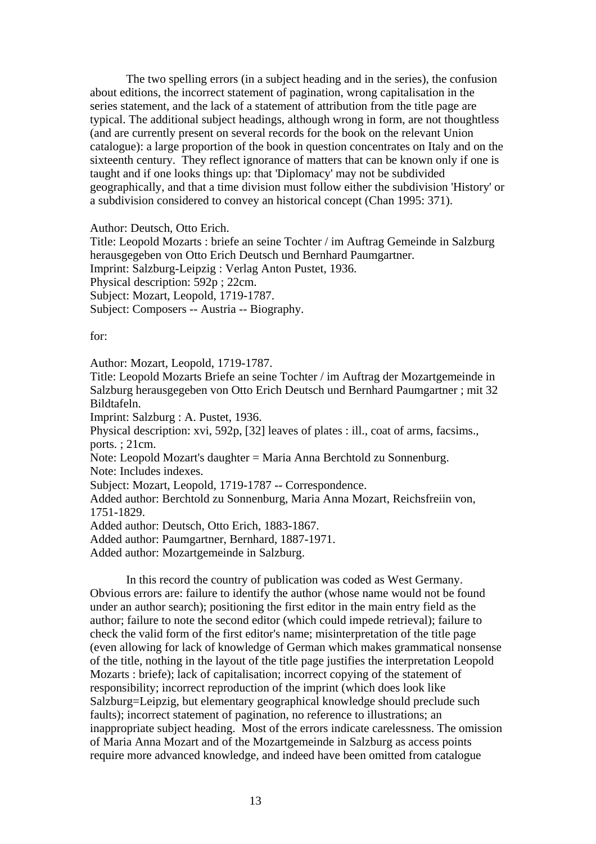The two spelling errors (in a subject heading and in the series), the confusion about editions, the incorrect statement of pagination, wrong capitalisation in the series statement, and the lack of a statement of attribution from the title page are typical. The additional subject headings, although wrong in form, are not thoughtless (and are currently present on several records for the book on the relevant Union catalogue): a large proportion of the book in question concentrates on Italy and on the sixteenth century. They reflect ignorance of matters that can be known only if one is taught and if one looks things up: that 'Diplomacy' may not be subdivided geographically, and that a time division must follow either the subdivision 'History' or a subdivision considered to convey an historical concept (Chan 1995: 371).

Author: Deutsch, Otto Erich.

Title: Leopold Mozarts : briefe an seine Tochter / im Auftrag Gemeinde in Salzburg herausgegeben von Otto Erich Deutsch und Bernhard Paumgartner. Imprint: Salzburg-Leipzig : Verlag Anton Pustet, 1936. Physical description: 592p ; 22cm. Subject: Mozart, Leopold, 1719-1787. Subject: Composers -- Austria -- Biography.

for:

Author: Mozart, Leopold, 1719-1787.

Title: Leopold Mozarts Briefe an seine Tochter / im Auftrag der Mozartgemeinde in Salzburg herausgegeben von Otto Erich Deutsch und Bernhard Paumgartner ; mit 32 Bildtafeln.

Imprint: Salzburg : A. Pustet, 1936.

Physical description: xvi, 592p, [32] leaves of plates : ill., coat of arms, facsims., ports. ; 21cm.

Note: Leopold Mozart's daughter = Maria Anna Berchtold zu Sonnenburg. Note: Includes indexes.

Subject: Mozart, Leopold, 1719-1787 -- Correspondence.

Added author: Berchtold zu Sonnenburg, Maria Anna Mozart, Reichsfreiin von, 1751-1829.

Added author: Deutsch, Otto Erich, 1883-1867.

Added author: Paumgartner, Bernhard, 1887-1971.

Added author: Mozartgemeinde in Salzburg.

 In this record the country of publication was coded as West Germany. Obvious errors are: failure to identify the author (whose name would not be found under an author search); positioning the first editor in the main entry field as the author; failure to note the second editor (which could impede retrieval); failure to check the valid form of the first editor's name; misinterpretation of the title page (even allowing for lack of knowledge of German which makes grammatical nonsense of the title, nothing in the layout of the title page justifies the interpretation Leopold Mozarts : briefe); lack of capitalisation; incorrect copying of the statement of responsibility; incorrect reproduction of the imprint (which does look like Salzburg=Leipzig, but elementary geographical knowledge should preclude such faults); incorrect statement of pagination, no reference to illustrations; an inappropriate subject heading. Most of the errors indicate carelessness. The omission of Maria Anna Mozart and of the Mozartgemeinde in Salzburg as access points require more advanced knowledge, and indeed have been omitted from catalogue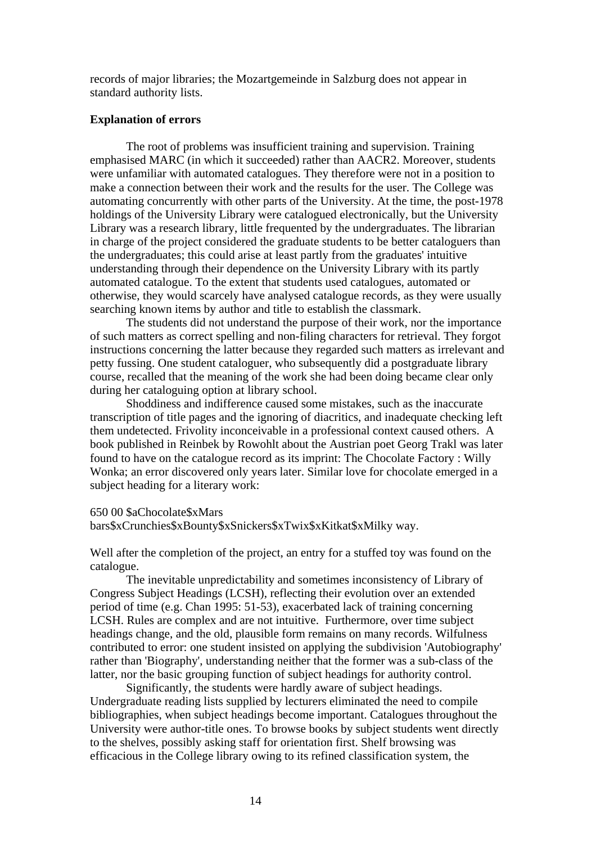records of major libraries; the Mozartgemeinde in Salzburg does not appear in standard authority lists.

## **Explanation of errors**

 The root of problems was insufficient training and supervision. Training emphasised MARC (in which it succeeded) rather than AACR2. Moreover, students were unfamiliar with automated catalogues. They therefore were not in a position to make a connection between their work and the results for the user. The College was automating concurrently with other parts of the University. At the time, the post-1978 holdings of the University Library were catalogued electronically, but the University Library was a research library, little frequented by the undergraduates. The librarian in charge of the project considered the graduate students to be better cataloguers than the undergraduates; this could arise at least partly from the graduates' intuitive understanding through their dependence on the University Library with its partly automated catalogue. To the extent that students used catalogues, automated or otherwise, they would scarcely have analysed catalogue records, as they were usually searching known items by author and title to establish the classmark.

 The students did not understand the purpose of their work, nor the importance of such matters as correct spelling and non-filing characters for retrieval. They forgot instructions concerning the latter because they regarded such matters as irrelevant and petty fussing. One student cataloguer, who subsequently did a postgraduate library course, recalled that the meaning of the work she had been doing became clear only during her cataloguing option at library school.

 Shoddiness and indifference caused some mistakes, such as the inaccurate transcription of title pages and the ignoring of diacritics, and inadequate checking left them undetected. Frivolity inconceivable in a professional context caused others. A book published in Reinbek by Rowohlt about the Austrian poet Georg Trakl was later found to have on the catalogue record as its imprint: The Chocolate Factory : Willy Wonka; an error discovered only years later. Similar love for chocolate emerged in a subject heading for a literary work:

#### 650 00 \$aChocolate\$xMars

bars\$xCrunchies\$xBounty\$xSnickers\$xTwix\$xKitkat\$xMilky way.

Well after the completion of the project, an entry for a stuffed toy was found on the catalogue.

 The inevitable unpredictability and sometimes inconsistency of Library of Congress Subject Headings (LCSH), reflecting their evolution over an extended period of time (e.g. Chan 1995: 51-53), exacerbated lack of training concerning LCSH. Rules are complex and are not intuitive. Furthermore, over time subject headings change, and the old, plausible form remains on many records. Wilfulness contributed to error: one student insisted on applying the subdivision 'Autobiography' rather than 'Biography', understanding neither that the former was a sub-class of the latter, nor the basic grouping function of subject headings for authority control.

 Significantly, the students were hardly aware of subject headings. Undergraduate reading lists supplied by lecturers eliminated the need to compile bibliographies, when subject headings become important. Catalogues throughout the University were author-title ones. To browse books by subject students went directly to the shelves, possibly asking staff for orientation first. Shelf browsing was efficacious in the College library owing to its refined classification system, the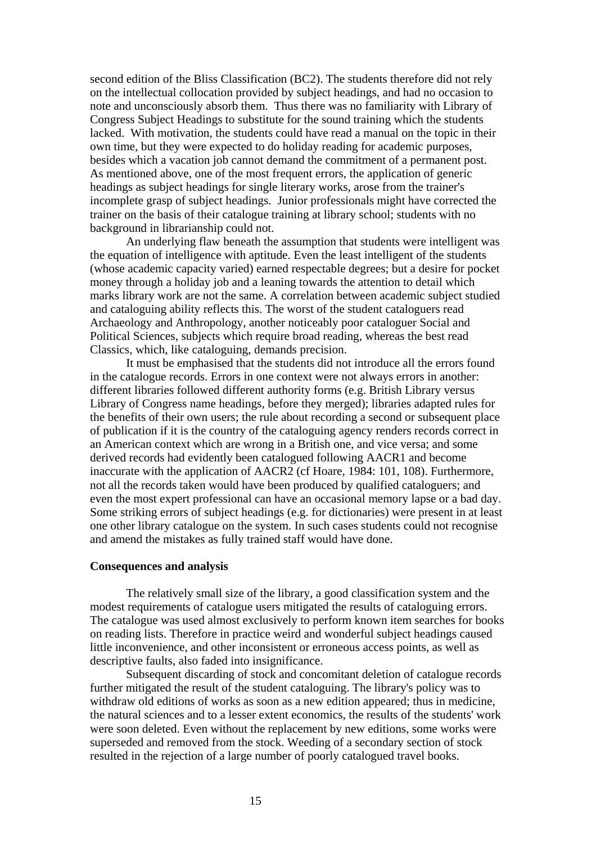second edition of the Bliss Classification (BC2). The students therefore did not rely on the intellectual collocation provided by subject headings, and had no occasion to note and unconsciously absorb them. Thus there was no familiarity with Library of Congress Subject Headings to substitute for the sound training which the students lacked. With motivation, the students could have read a manual on the topic in their own time, but they were expected to do holiday reading for academic purposes, besides which a vacation job cannot demand the commitment of a permanent post. As mentioned above, one of the most frequent errors, the application of generic headings as subject headings for single literary works, arose from the trainer's incomplete grasp of subject headings. Junior professionals might have corrected the trainer on the basis of their catalogue training at library school; students with no background in librarianship could not.

 An underlying flaw beneath the assumption that students were intelligent was the equation of intelligence with aptitude. Even the least intelligent of the students (whose academic capacity varied) earned respectable degrees; but a desire for pocket money through a holiday job and a leaning towards the attention to detail which marks library work are not the same. A correlation between academic subject studied and cataloguing ability reflects this. The worst of the student cataloguers read Archaeology and Anthropology, another noticeably poor cataloguer Social and Political Sciences, subjects which require broad reading, whereas the best read Classics, which, like cataloguing, demands precision.

 It must be emphasised that the students did not introduce all the errors found in the catalogue records. Errors in one context were not always errors in another: different libraries followed different authority forms (e.g. British Library versus Library of Congress name headings, before they merged); libraries adapted rules for the benefits of their own users; the rule about recording a second or subsequent place of publication if it is the country of the cataloguing agency renders records correct in an American context which are wrong in a British one, and vice versa; and some derived records had evidently been catalogued following AACR1 and become inaccurate with the application of AACR2 (cf Hoare, 1984: 101, 108). Furthermore, not all the records taken would have been produced by qualified cataloguers; and even the most expert professional can have an occasional memory lapse or a bad day. Some striking errors of subject headings (e.g. for dictionaries) were present in at least one other library catalogue on the system. In such cases students could not recognise and amend the mistakes as fully trained staff would have done.

#### **Consequences and analysis**

 The relatively small size of the library, a good classification system and the modest requirements of catalogue users mitigated the results of cataloguing errors. The catalogue was used almost exclusively to perform known item searches for books on reading lists. Therefore in practice weird and wonderful subject headings caused little inconvenience, and other inconsistent or erroneous access points, as well as descriptive faults, also faded into insignificance.

 Subsequent discarding of stock and concomitant deletion of catalogue records further mitigated the result of the student cataloguing. The library's policy was to withdraw old editions of works as soon as a new edition appeared; thus in medicine, the natural sciences and to a lesser extent economics, the results of the students' work were soon deleted. Even without the replacement by new editions, some works were superseded and removed from the stock. Weeding of a secondary section of stock resulted in the rejection of a large number of poorly catalogued travel books.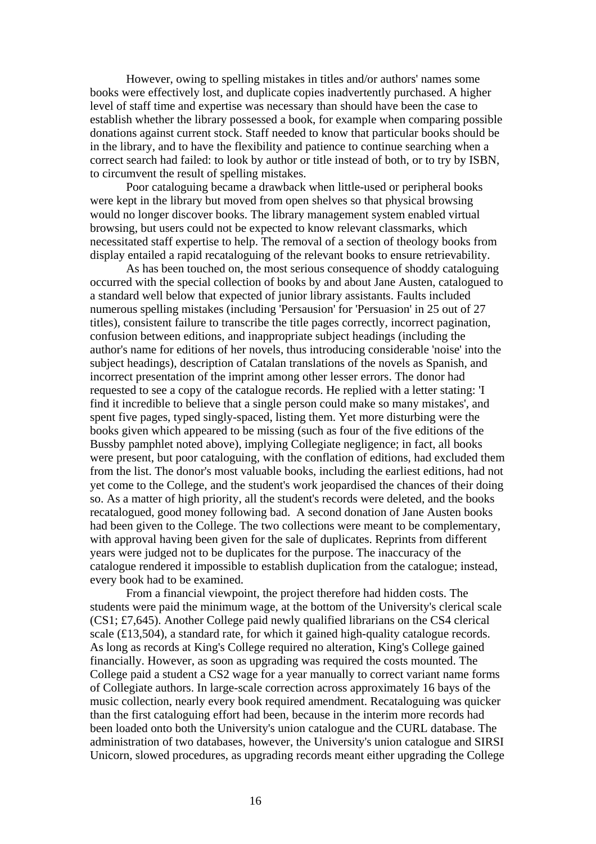However, owing to spelling mistakes in titles and/or authors' names some books were effectively lost, and duplicate copies inadvertently purchased. A higher level of staff time and expertise was necessary than should have been the case to establish whether the library possessed a book, for example when comparing possible donations against current stock. Staff needed to know that particular books should be in the library, and to have the flexibility and patience to continue searching when a correct search had failed: to look by author or title instead of both, or to try by ISBN, to circumvent the result of spelling mistakes.

 Poor cataloguing became a drawback when little-used or peripheral books were kept in the library but moved from open shelves so that physical browsing would no longer discover books. The library management system enabled virtual browsing, but users could not be expected to know relevant classmarks, which necessitated staff expertise to help. The removal of a section of theology books from display entailed a rapid recataloguing of the relevant books to ensure retrievability.

 As has been touched on, the most serious consequence of shoddy cataloguing occurred with the special collection of books by and about Jane Austen, catalogued to a standard well below that expected of junior library assistants. Faults included numerous spelling mistakes (including 'Persausion' for 'Persuasion' in 25 out of 27 titles), consistent failure to transcribe the title pages correctly, incorrect pagination, confusion between editions, and inappropriate subject headings (including the author's name for editions of her novels, thus introducing considerable 'noise' into the subject headings), description of Catalan translations of the novels as Spanish, and incorrect presentation of the imprint among other lesser errors. The donor had requested to see a copy of the catalogue records. He replied with a letter stating: 'I find it incredible to believe that a single person could make so many mistakes', and spent five pages, typed singly-spaced, listing them. Yet more disturbing were the books given which appeared to be missing (such as four of the five editions of the Bussby pamphlet noted above), implying Collegiate negligence; in fact, all books were present, but poor cataloguing, with the conflation of editions, had excluded them from the list. The donor's most valuable books, including the earliest editions, had not yet come to the College, and the student's work jeopardised the chances of their doing so. As a matter of high priority, all the student's records were deleted, and the books recatalogued, good money following bad. A second donation of Jane Austen books had been given to the College. The two collections were meant to be complementary, with approval having been given for the sale of duplicates. Reprints from different years were judged not to be duplicates for the purpose. The inaccuracy of the catalogue rendered it impossible to establish duplication from the catalogue; instead, every book had to be examined.

 From a financial viewpoint, the project therefore had hidden costs. The students were paid the minimum wage, at the bottom of the University's clerical scale (CS1; £7,645). Another College paid newly qualified librarians on the CS4 clerical scale (£13,504), a standard rate, for which it gained high-quality catalogue records. As long as records at King's College required no alteration, King's College gained financially. However, as soon as upgrading was required the costs mounted. The College paid a student a CS2 wage for a year manually to correct variant name forms of Collegiate authors. In large-scale correction across approximately 16 bays of the music collection, nearly every book required amendment. Recataloguing was quicker than the first cataloguing effort had been, because in the interim more records had been loaded onto both the University's union catalogue and the CURL database. The administration of two databases, however, the University's union catalogue and SIRSI Unicorn, slowed procedures, as upgrading records meant either upgrading the College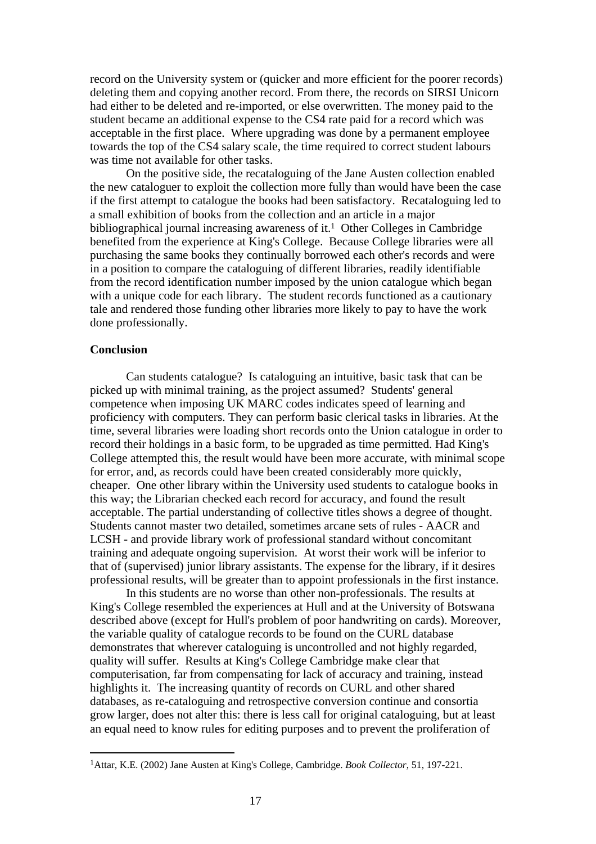record on the University system or (quicker and more efficient for the poorer records) deleting them and copying another record. From there, the records on SIRSI Unicorn had either to be deleted and re-imported, or else overwritten. The money paid to the student became an additional expense to the CS4 rate paid for a record which was acceptable in the first place. Where upgrading was done by a permanent employee towards the top of the CS4 salary scale, the time required to correct student labours was time not available for other tasks.

 On the positive side, the recataloguing of the Jane Austen collection enabled the new cataloguer to exploit the collection more fully than would have been the case if the first attempt to catalogue the books had been satisfactory. Recataloguing led to a small exhibition of books from the collection and an article in a major bibliographical journal increasing awareness of it.<sup>1</sup> Other Colleges in Cambridge benefited from the experience at King's College. Because College libraries were all purchasing the same books they continually borrowed each other's records and were in a position to compare the cataloguing of different libraries, readily identifiable from the record identification number imposed by the union catalogue which began with a unique code for each library. The student records functioned as a cautionary tale and rendered those funding other libraries more likely to pay to have the work done professionally.

# **Conclusion**

 $\overline{a}$ 

 Can students catalogue? Is cataloguing an intuitive, basic task that can be picked up with minimal training, as the project assumed? Students' general competence when imposing UK MARC codes indicates speed of learning and proficiency with computers. They can perform basic clerical tasks in libraries. At the time, several libraries were loading short records onto the Union catalogue in order to record their holdings in a basic form, to be upgraded as time permitted. Had King's College attempted this, the result would have been more accurate, with minimal scope for error, and, as records could have been created considerably more quickly, cheaper. One other library within the University used students to catalogue books in this way; the Librarian checked each record for accuracy, and found the result acceptable. The partial understanding of collective titles shows a degree of thought. Students cannot master two detailed, sometimes arcane sets of rules - AACR and LCSH - and provide library work of professional standard without concomitant training and adequate ongoing supervision. At worst their work will be inferior to that of (supervised) junior library assistants. The expense for the library, if it desires professional results, will be greater than to appoint professionals in the first instance.

 In this students are no worse than other non-professionals. The results at King's College resembled the experiences at Hull and at the University of Botswana described above (except for Hull's problem of poor handwriting on cards). Moreover, the variable quality of catalogue records to be found on the CURL database demonstrates that wherever cataloguing is uncontrolled and not highly regarded, quality will suffer. Results at King's College Cambridge make clear that computerisation, far from compensating for lack of accuracy and training, instead highlights it. The increasing quantity of records on CURL and other shared databases, as re-cataloguing and retrospective conversion continue and consortia grow larger, does not alter this: there is less call for original cataloguing, but at least an equal need to know rules for editing purposes and to prevent the proliferation of

<sup>1</sup>Attar, K.E. (2002) Jane Austen at King's College, Cambridge. *Book Collector*, 51, 197-221.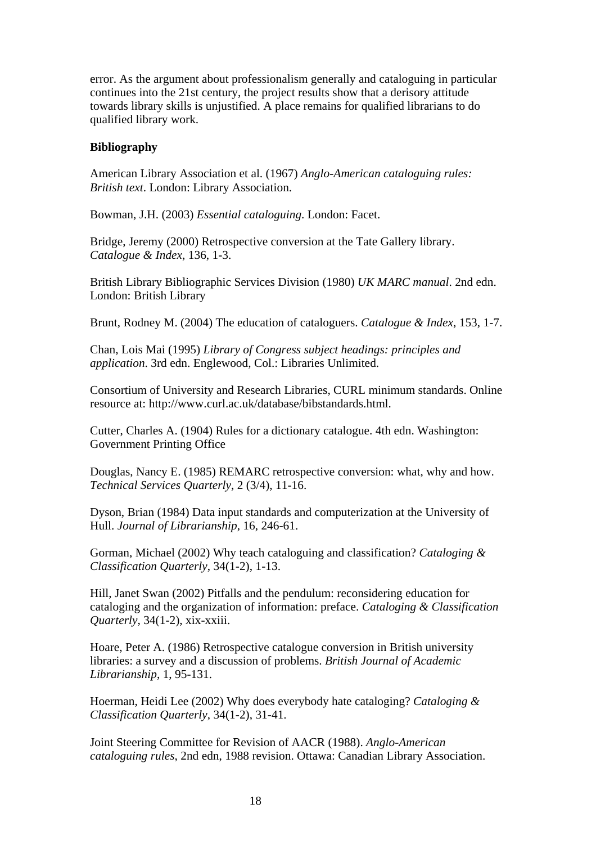error. As the argument about professionalism generally and cataloguing in particular continues into the 21st century, the project results show that a derisory attitude towards library skills is unjustified. A place remains for qualified librarians to do qualified library work.

## **Bibliography**

American Library Association et al. (1967) *Anglo-American cataloguing rules: British text*. London: Library Association.

Bowman, J.H. (2003) *Essential cataloguing*. London: Facet.

Bridge, Jeremy (2000) Retrospective conversion at the Tate Gallery library. *Catalogue & Index*, 136, 1-3.

British Library Bibliographic Services Division (1980) *UK MARC manual*. 2nd edn. London: British Library

Brunt, Rodney M. (2004) The education of cataloguers. *Catalogue & Index*, 153, 1-7.

Chan, Lois Mai (1995) *Library of Congress subject headings: principles and application*. 3rd edn. Englewood, Col.: Libraries Unlimited.

Consortium of University and Research Libraries, CURL minimum standards. Online resource at: http://www.curl.ac.uk/database/bibstandards.html.

Cutter, Charles A. (1904) Rules for a dictionary catalogue. 4th edn. Washington: Government Printing Office

Douglas, Nancy E. (1985) REMARC retrospective conversion: what, why and how. *Technical Services Quarterly*, 2 (3/4), 11-16.

Dyson, Brian (1984) Data input standards and computerization at the University of Hull. *Journal of Librarianship*, 16, 246-61.

Gorman, Michael (2002) Why teach cataloguing and classification? *Cataloging & Classification Quarterly*, 34(1-2), 1-13.

Hill, Janet Swan (2002) Pitfalls and the pendulum: reconsidering education for cataloging and the organization of information: preface. *Cataloging & Classification Quarterly*, 34(1-2), xix-xxiii.

Hoare, Peter A. (1986) Retrospective catalogue conversion in British university libraries: a survey and a discussion of problems. *British Journal of Academic Librarianship*, 1, 95-131.

Hoerman, Heidi Lee (2002) Why does everybody hate cataloging? *Cataloging & Classification Quarterly*, 34(1-2), 31-41.

Joint Steering Committee for Revision of AACR (1988). *Anglo-American cataloguing rules*, 2nd edn, 1988 revision. Ottawa: Canadian Library Association.